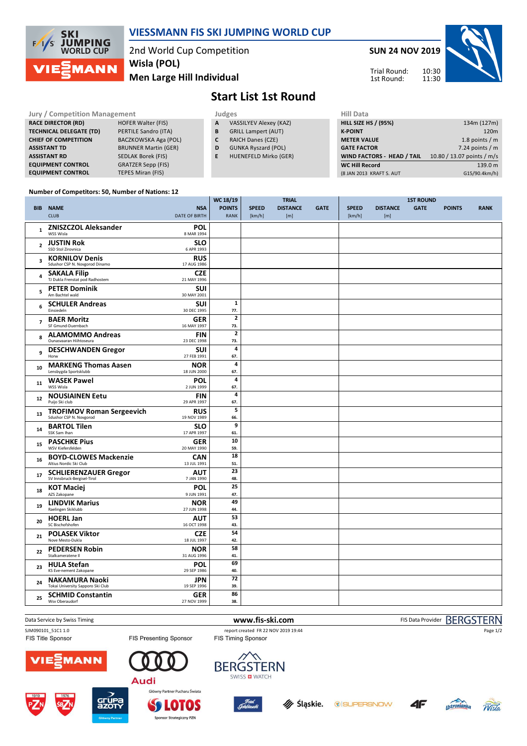

### **VIESSMANN FIS SKI JUMPING WORLD CUP**

2nd World Cup Competition **Men Large Hill Individual Wisla (POL)**

**SUN 24 NOV 2019**

Trial Round: 1st Round:

10:30 11:30



## **Start List 1st Round**

| <b>Jury / Competition Management</b> |                             |   | <b>Judges</b>                | <b>Hill Data</b>                  |                            |  |  |
|--------------------------------------|-----------------------------|---|------------------------------|-----------------------------------|----------------------------|--|--|
| <b>RACE DIRECTOR (RD)</b>            | <b>HOFER Walter (FIS)</b>   | A | VASSILYEV Alexey (KAZ)       | <b>HILL SIZE HS / (95%)</b>       | 134m (127m)                |  |  |
| <b>TECHNICAL DELEGATE (TD)</b>       | PERTILE Sandro (ITA)        | B | <b>GRILL Lampert (AUT)</b>   | <b>K-POINT</b>                    | 120 <sub>m</sub>           |  |  |
| <b>CHIEF OF COMPETITION</b>          | BACZKOWSKA Aga (POL)        |   | <b>RAICH Danes (CZE)</b>     | <b>METER VALUE</b>                | 1.8 points $/m$            |  |  |
| <b>ASSISTANT TD</b>                  | <b>BRUNNER Martin (GER)</b> | D | <b>GUNKA Ryszard (POL)</b>   | <b>GATE FACTOR</b>                | 7.24 points $/m$           |  |  |
| <b>ASSISTANT RD</b>                  | SEDLAK Borek (FIS)          |   | <b>HUENEFELD Mirko (GER)</b> | <b>WIND FACTORS - HEAD / TAIL</b> | 10.80 / 13.07 points / m/s |  |  |
| <b>EQUIPMENT CONTROL</b>             | <b>GRATZER Sepp (FIS)</b>   |   |                              | <b>WC Hill Record</b>             | 139.0 m                    |  |  |
| <b>EQUIPMENT CONTROL</b>             | TEPES Miran (FIS)           |   |                              | (8 JAN 2013 KRAFT S. AUT          | G15/90.4km/h)              |  |  |

#### **Number of Competitors: 50, Number of Nations: 12**

|                |                                                             | WC 18/19<br><b>TRIAL</b>  |                |              | <b>1ST ROUND</b> |             |              |                 |             |               |             |
|----------------|-------------------------------------------------------------|---------------------------|----------------|--------------|------------------|-------------|--------------|-----------------|-------------|---------------|-------------|
|                | <b>BIB NAME</b>                                             | <b>NSA</b>                | <b>POINTS</b>  | <b>SPEED</b> | <b>DISTANCE</b>  | <b>GATE</b> | <b>SPEED</b> | <b>DISTANCE</b> | <b>GATE</b> | <b>POINTS</b> | <b>RANK</b> |
|                | <b>CLUB</b>                                                 | <b>DATE OF BIRTH</b>      | <b>RANK</b>    | [km/h]       | [m]              |             | [km/h]       | [m]             |             |               |             |
|                | <b>ZNISZCZOL Aleksander</b>                                 | <b>POL</b>                |                |              |                  |             |              |                 |             |               |             |
| $\mathbf{1}$   | WSS Wisla                                                   | 8 MAR 1994                |                |              |                  |             |              |                 |             |               |             |
|                | <b>JUSTIN Rok</b>                                           | <b>SLO</b>                |                |              |                  |             |              |                 |             |               |             |
| $\overline{2}$ | SSD Stol Zirovnica                                          | 6 APR 1993                |                |              |                  |             |              |                 |             |               |             |
| 3              | <b>KORNILOV Denis</b>                                       | <b>RUS</b>                |                |              |                  |             |              |                 |             |               |             |
|                | Sdushor CSP N. Novgorod Dinamo                              | 17 AUG 1986               |                |              |                  |             |              |                 |             |               |             |
| 4              | <b>SAKALA Filip</b>                                         | <b>CZE</b>                |                |              |                  |             |              |                 |             |               |             |
|                | TJ Dukla Frenstat pod Radhostem                             | 21 MAY 1996               |                |              |                  |             |              |                 |             |               |             |
| 5              | <b>PETER Dominik</b><br>Am Bachtel wald                     | SUI<br>30 MAY 2001        |                |              |                  |             |              |                 |             |               |             |
|                |                                                             |                           | $\mathbf 1$    |              |                  |             |              |                 |             |               |             |
| 6              | <b>SCHULER Andreas</b><br>Einsiedeln                        | <b>SUI</b><br>30 DEC 1995 | 77.            |              |                  |             |              |                 |             |               |             |
|                | <b>BAER Moritz</b>                                          | <b>GER</b>                | $\mathbf{2}$   |              |                  |             |              |                 |             |               |             |
| $\overline{7}$ | SF Gmund-Duernbach                                          | 16 MAY 1997               | 73.            |              |                  |             |              |                 |             |               |             |
|                | <b>ALAMOMMO Andreas</b>                                     | <b>FIN</b>                | $\overline{2}$ |              |                  |             |              |                 |             |               |             |
| 8              | Ounasvaaran Hiihtoseura                                     | 23 DEC 1998               | 73.            |              |                  |             |              |                 |             |               |             |
| 9              | <b>DESCHWANDEN Gregor</b>                                   | <b>SUI</b>                | 4              |              |                  |             |              |                 |             |               |             |
|                | Horw                                                        | 27 FEB 1991               | 67.            |              |                  |             |              |                 |             |               |             |
| 10             | <b>MARKENG Thomas Aasen</b>                                 | <b>NOR</b>                | 4              |              |                  |             |              |                 |             |               |             |
|                | Lensbygda Sportsklubb                                       | 18 JUN 2000               | 67.            |              |                  |             |              |                 |             |               |             |
| 11             | <b>WASEK Pawel</b>                                          | <b>POL</b>                | 4              |              |                  |             |              |                 |             |               |             |
|                | WSS Wisla                                                   | 2 JUN 1999                | 67.<br>4       |              |                  |             |              |                 |             |               |             |
| 12             | <b>NOUSIAINEN Eetu</b><br>Puijo Ski club                    | <b>FIN</b><br>29 APR 1997 | 67.            |              |                  |             |              |                 |             |               |             |
|                | <b>TROFIMOV Roman Sergeevich</b>                            | <b>RUS</b>                | 5              |              |                  |             |              |                 |             |               |             |
| 13             | Sdushor CSP N. Novgorod                                     | 19 NOV 1989               | 66.            |              |                  |             |              |                 |             |               |             |
|                | <b>BARTOL Tilen</b>                                         | <b>SLO</b>                | 9              |              |                  |             |              |                 |             |               |             |
| 14             | SSK Sam Ihan                                                | 17 APR 1997               | 61.            |              |                  |             |              |                 |             |               |             |
| 15             | <b>PASCHKE Pius</b>                                         | <b>GER</b>                | 10             |              |                  |             |              |                 |             |               |             |
|                | WSV Kiefersfelden                                           | 20 MAY 1990               | 59.            |              |                  |             |              |                 |             |               |             |
| 16             | <b>BOYD-CLOWES Mackenzie</b>                                | <b>CAN</b>                | 18             |              |                  |             |              |                 |             |               |             |
|                | Altius Nordic Ski Club                                      | 13 JUL 1991               | 51.            |              |                  |             |              |                 |             |               |             |
| 17             | <b>SCHLIERENZAUER Gregor</b><br>SV Innsbruck-Bergisel-Tirol | <b>AUT</b><br>7 JAN 1990  | 23<br>48.      |              |                  |             |              |                 |             |               |             |
|                |                                                             |                           | 25             |              |                  |             |              |                 |             |               |             |
| 18             | <b>KOT Maciej</b><br>AZS Zakopane                           | <b>POL</b><br>9 JUN 1991  | 47.            |              |                  |             |              |                 |             |               |             |
|                | <b>LINDVIK Marius</b>                                       | <b>NOR</b>                | 49             |              |                  |             |              |                 |             |               |             |
| 19             | Raelingen Skiklubb                                          | 27 JUN 1998               | 44.            |              |                  |             |              |                 |             |               |             |
|                | <b>HOERL Jan</b>                                            | <b>AUT</b>                | 53             |              |                  |             |              |                 |             |               |             |
| 20             | SC Bischofshofen                                            | 16 OCT 1998               | 43.            |              |                  |             |              |                 |             |               |             |
| 21             | <b>POLASEK Viktor</b>                                       | <b>CZE</b>                | 54             |              |                  |             |              |                 |             |               |             |
|                | Nove Mesto-Dukla                                            | 18 JUL 1997               | 42.            |              |                  |             |              |                 |             |               |             |
| 22             | <b>PEDERSEN Robin</b>                                       | <b>NOR</b>                | 58             |              |                  |             |              |                 |             |               |             |
|                | Stalkameratene II                                           | 31 AUG 1996               | 41.            |              |                  |             |              |                 |             |               |             |
| 23             | <b>HULA Stefan</b><br>KS Eve-nement Zakopane                | <b>POL</b><br>29 SEP 1986 | 69<br>40.      |              |                  |             |              |                 |             |               |             |
|                | <b>NAKAMURA Naoki</b>                                       | <b>JPN</b>                | 72             |              |                  |             |              |                 |             |               |             |
| 24             | Tokai University Sapporo Ski Club                           | 19 SEP 1996               | 39.            |              |                  |             |              |                 |             |               |             |
|                | <b>SCHMID Constantin</b>                                    | <b>GER</b>                | 86             |              |                  |             |              |                 |             |               |             |
| 25             | Wsv Oberaudorf                                              | 27 NOV 1999               | 38.            |              |                  |             |              |                 |             |               |             |
|                |                                                             |                           |                |              |                  |             |              |                 |             |               |             |

Data Service by Swiss Timing **WWW.fis-ski.com www.fis-ski.com** FIS Data Provider BERGSTERN

FIS Title Sponsor

FIS Presenting Sponsor

SJM090101\_51C1 1.0 report created FR 22 NOV 2019 19:44<br>FIS Title Sponsor FIS Tessenting Sponsor FIS Timing Sponsor

























Page 1/2